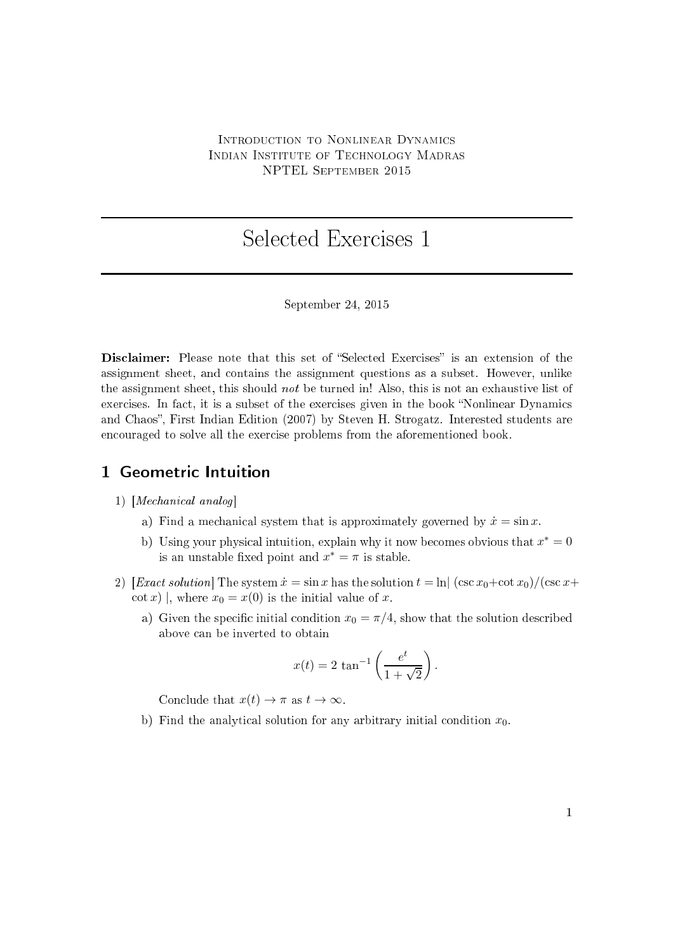## INTRODUCTION TO NONLINEAR DYNAMICS INDIAN INSTITUTE OF TECHNOLOGY MADRAS NPTEL September <sup>2015</sup>

# Sele
ted Exer
ises <sup>1</sup>

#### September 24, 2015

Disclaimer: Please note that this set of "Selected Exercises" is an extension of the assignment sheet, and ontains the assignment questions as a subset. However, unlike the assignment sheet, this should not be turned in! Also, this is not an exhaustive list of exercises. In fact, it is a subset of the exercises given in the book "Nonlinear Dynamics" and Chaos", First Indian Edition (2007) by Steven H. Strogatz. Interested students are en
ouraged to solve all the exer
ise problems from the aforementioned book.

## 1 Geometric Intuition

#### $1)$  [Mechanical analog]

- a) Find a mechanical system that is approximately governed by  $\dot{x} = \sin x$ .
- b) Using your physical intuition, explain why it now becomes obvious that  $x^* = 0$ is an unstable fixed point and  $x^* = \pi$  is stable.
- 2) [Exact solution] The system  $\dot{x} = \sin x$  has the solution  $t = \ln |(\csc x_0 + \cot x_0)/(\csc x +$ cot x), where  $x_0 = x(0)$  is the initial value of x.
	- a) Given the specific initial condition  $x_0 = \pi/4$ , show that the solution described above can be inverted to obtain

$$
x(t) = 2 \tan^{-1} \left( \frac{e^t}{1 + \sqrt{2}} \right).
$$

Conclude that  $x(t) \to \pi$  as  $t \to \infty$ .

b) Find the analytical solution for any arbitrary initial condition  $x_0$ .